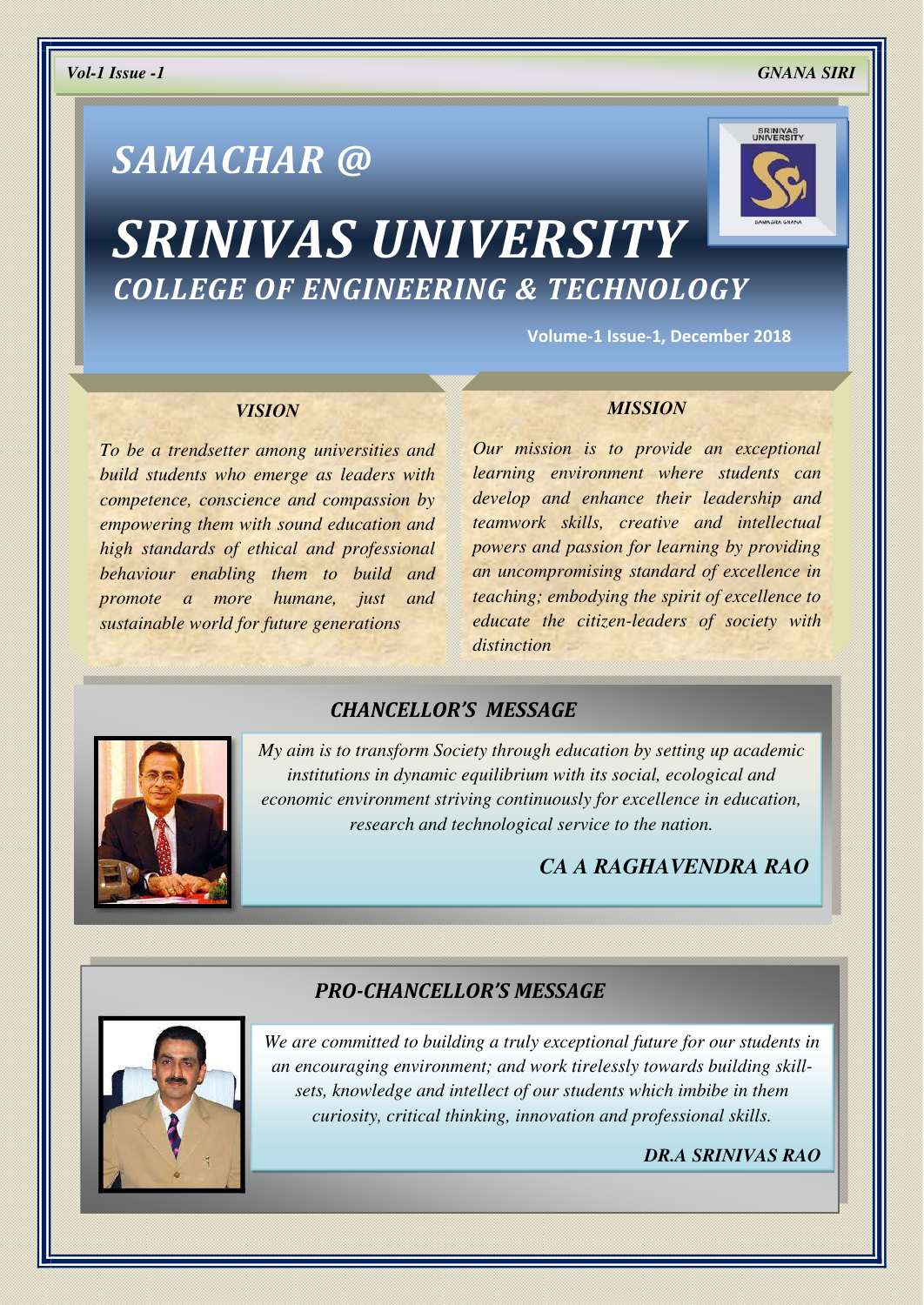# *SAMACHAR @*



## *SRINIVAS UNIVERSITY COLLEGE OF ENGINEERING & TECHNOLOGY*

**Volume-1 Issue-1, December 2018** 

#### *VISION*

*To be a trendsetter among universities and build students who emerge as leaders with competence, conscience and compassion by empowering them with sound education and high standards of ethical and professional behaviour enabling them to build and promote a more humane, just and sustainable world for future generations* 

#### *MISSION*

*Our mission is to provide an exceptional learning environment where students can develop and enhance their leadership and teamwork skills, creative and intellectual powers and passion for learning by providing an uncompromising standard of excellence in teaching; embodying the spirit of excellence to educate the citizen-leaders of society with distinction* 

## *CHANCELLOR'S MESSAGE*



*My aim is to transform Society through education by setting up academic institutions in dynamic equilibrium with its social, ecological and economic environment striving continuously for excellence in education, research and technological service to the nation.* 

## *CA A RAGHAVENDRA RAO*

#### *PRO-CHANCELLOR'S MESSAGE*



*We are committed to building a truly exceptional future for our students in an encouraging environment; and work tirelessly towards building skillsets, knowledge and intellect of our students which imbibe in them curiosity, critical thinking, innovation and professional skills.* 

*DR.A SRINIVAS RAO*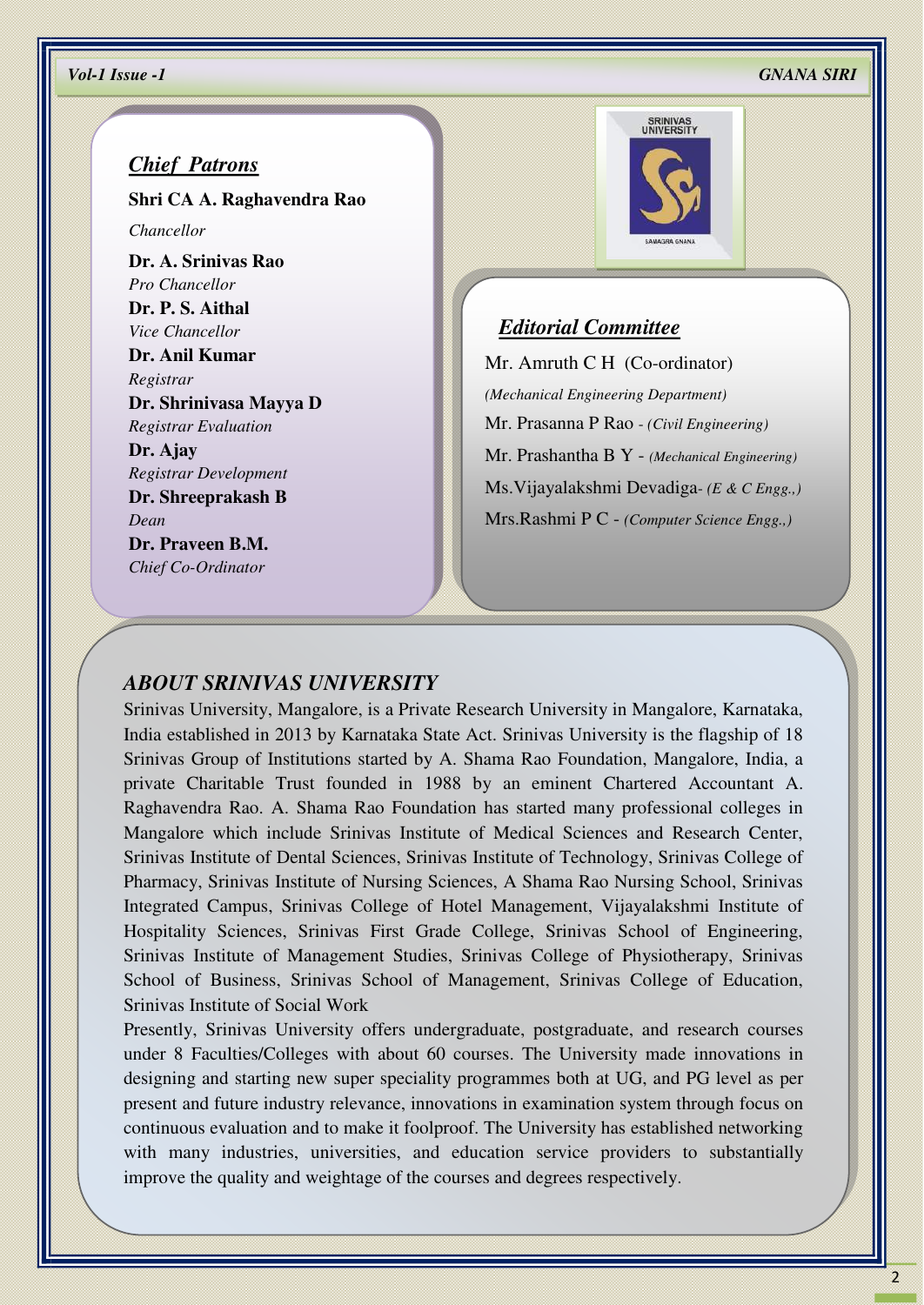#### *Chief Patrons*

**Shri CA A. Raghavendra Rao**

*Chancellor*

**Dr. A. Srinivas Rao** *Pro Chancellor* **Dr. P. S. Aithal** 

*Vice Chancellor* 

**Dr. Anil Kumar**  *Registrar*  **Dr. Shrinivasa Mayya D** 

*Registrar Evaluation* 

**Dr. Ajay**  *Registrar Development*  **Dr. Shreeprakash B**  *Dean*  **Dr. Praveen B.M.**  *Chief Co-Ordinator* 



#### *Editorial Committee*

Mr. Amruth C H (Co-ordinator) *(Mechanical Engineering Department)*  Mr. Prasanna P Rao - *(Civil Engineering)* Mr. Prashantha B Y - *(Mechanical Engineering)* Ms.Vijayalakshmi Devadiga- *(E & C Engg.,)* Mrs.Rashmi P C - *(Computer Science Engg.,)*

#### *ABOUT SRINIVAS UNIVERSITY*

Srinivas University, Mangalore, is a Private Research University in Mangalore, Karnataka, India established in 2013 by Karnataka State Act. Srinivas University is the flagship of 18 Srinivas Group of Institutions started by A. Shama Rao Foundation, Mangalore, India, a private Charitable Trust founded in 1988 by an eminent Chartered Accountant A. Raghavendra Rao. A. Shama Rao Foundation has started many professional colleges in Mangalore which include Srinivas Institute of Medical Sciences and Research Center, Srinivas Institute of Dental Sciences, Srinivas Institute of Technology, Srinivas College of Pharmacy, Srinivas Institute of Nursing Sciences, A Shama Rao Nursing School, Srinivas Integrated Campus, Srinivas College of Hotel Management, Vijayalakshmi Institute of Hospitality Sciences, Srinivas First Grade College, Srinivas School of Engineering, Srinivas Institute of Management Studies, Srinivas College of Physiotherapy, Srinivas School of Business, Srinivas School of Management, Srinivas College of Education, Srinivas Institute of Social Work

Presently, Srinivas University offers undergraduate, postgraduate, and research courses under 8 Faculties/Colleges with about 60 courses. The University made innovations in designing and starting new super speciality programmes both at UG, and PG level as per present and future industry relevance, innovations in examination system through focus on continuous evaluation and to make it foolproof. The University has established networking with many industries, universities, and education service providers to substantially improve the quality and weightage of the courses and degrees respectively.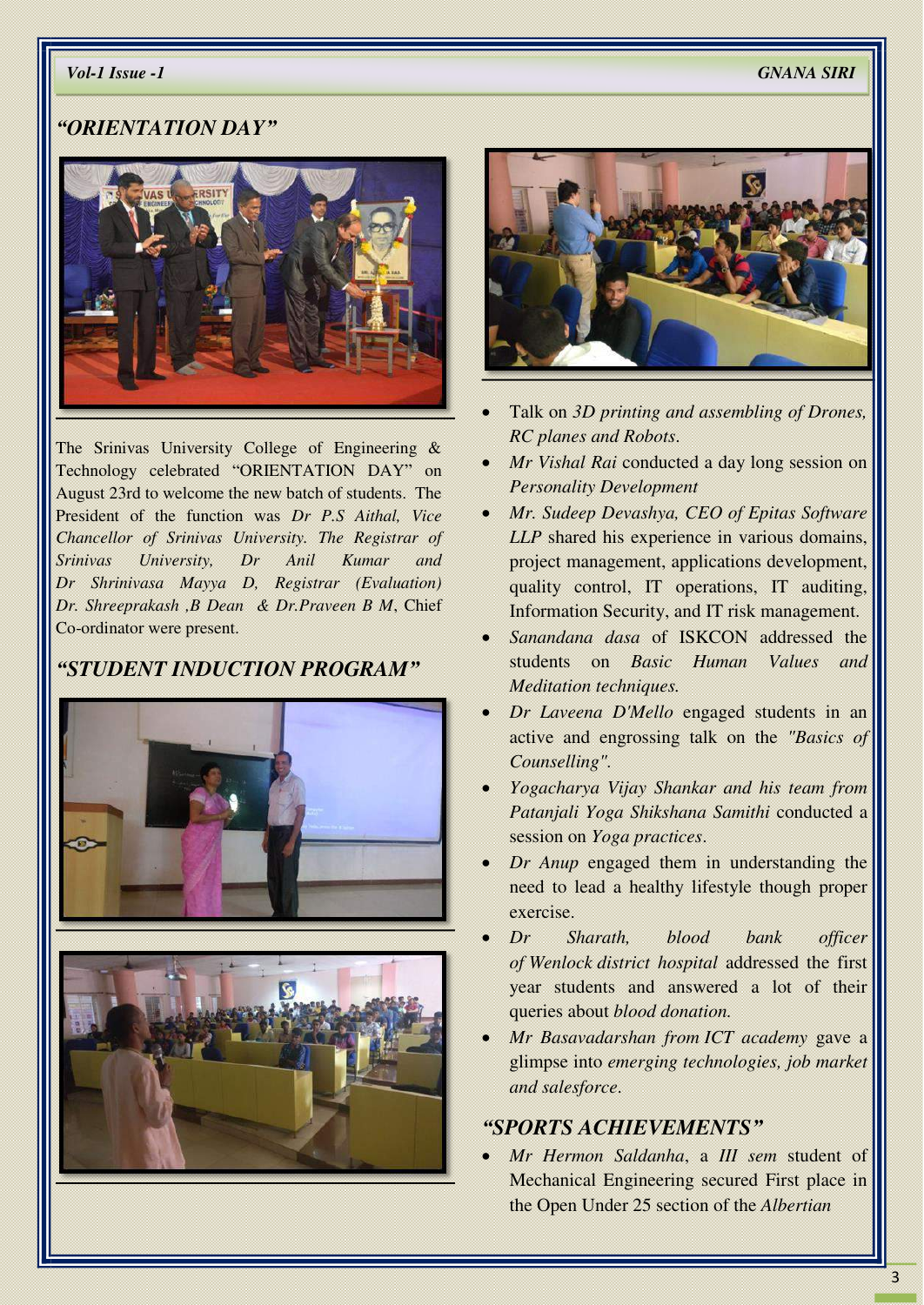#### *"ORIENTATION DAY"*



The Srinivas University College of Engineering & Technology celebrated "ORIENTATION DAY" on August 23rd to welcome the new batch of students. The President of the function was *Dr P.S Aithal, Vice Chancellor of Srinivas University. The Registrar of Srinivas University, Dr Anil Kumar and Dr Shrinivasa Mayya D, Registrar (Evaluation) Dr. Shreeprakash ,B Dean & Dr.Praveen B M*, Chief Co-ordinator were present.

## *"STUDENT INDUCTION PROGRAM"*







- Talk on *3D printing and assembling of Drones, RC planes and Robots*.
- *Mr Vishal Rai* conducted a day long session on *Personality Development*
- *Mr. Sudeep Devashya, CEO of Epitas Software LLP* shared his experience in various domains, project management, applications development, quality control, IT operations, IT auditing, Information Security, and IT risk management.
- *Sanandana dasa* of ISKCON addressed the students on *Basic Human Values and Meditation techniques.*
- *Dr Laveena D'Mello* engaged students in an active and engrossing talk on the *"Basics of Counselling".*
- *Yogacharya Vijay Shankar and his team from Patanjali Yoga Shikshana Samithi* conducted a session on *Yoga practices*.
- *Dr Anup* engaged them in understanding the need to lead a healthy lifestyle though proper exercise.
- *Dr Sharath, blood bank officer of Wenlock district hospital* addressed the first year students and answered a lot of their queries about *blood donation.*
- *Mr Basavadarshan from ICT academy* gave a glimpse into *emerging technologies, job market and salesforce*.

#### *"SPORTS ACHIEVEMENTS"*

 *Mr Hermon Saldanha*, a *III sem* student of Mechanical Engineering secured First place in the Open Under 25 section of the *Albertian*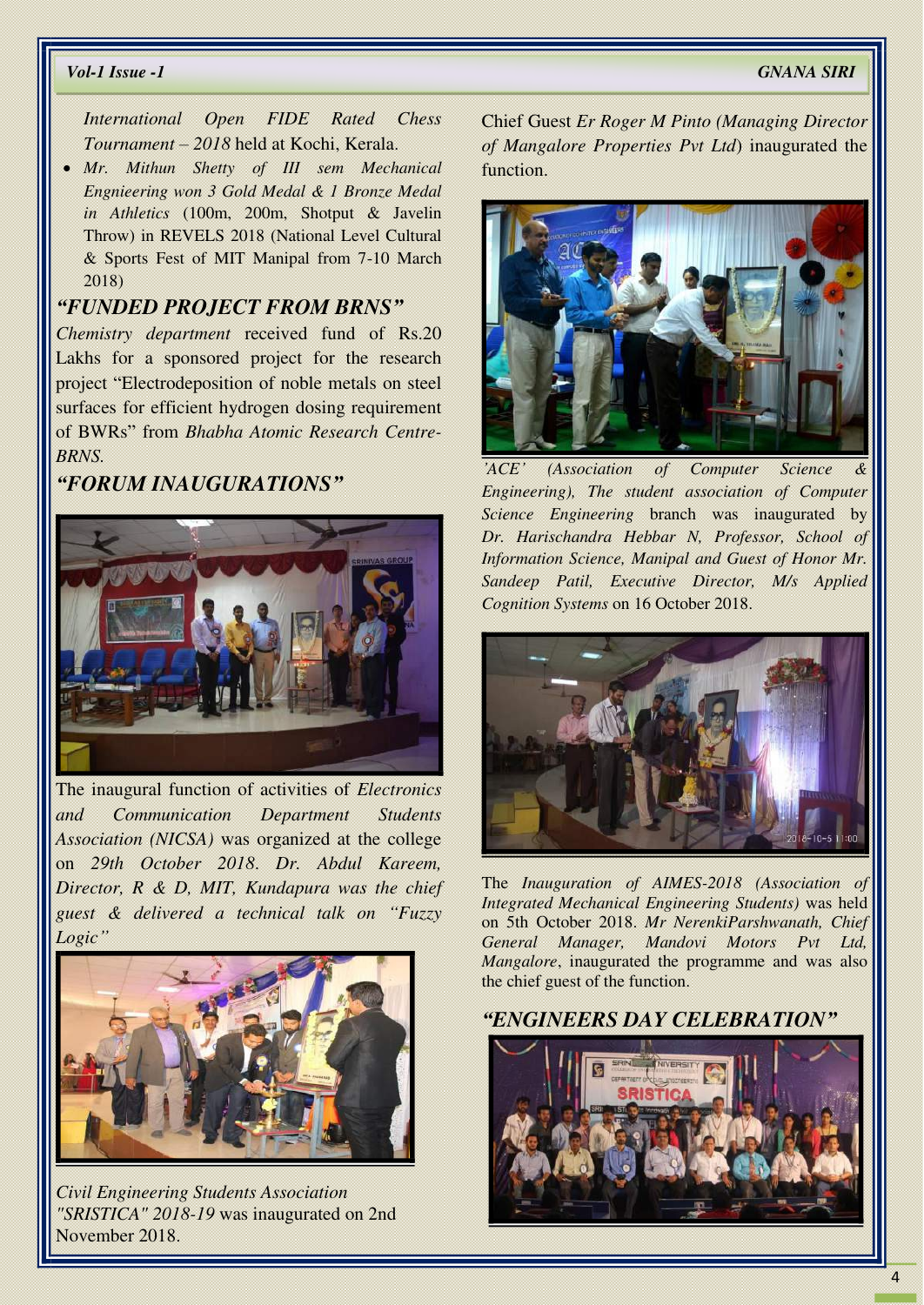*International Open FIDE Rated Chess Tournament – 2018* held at Kochi, Kerala.

 *Mr. Mithun Shetty of III sem Mechanical Engnieering won 3 Gold Medal & 1 Bronze Medal in Athletics* (100m, 200m, Shotput & Javelin Throw) in REVELS 2018 (National Level Cultural & Sports Fest of MIT Manipal from 7-10 March 2018)

#### *"FUNDED PROJECT FROM BRNS"*

*Chemistry department* received fund of Rs.20 Lakhs for a sponsored project for the research project "Electrodeposition of noble metals on steel surfaces for efficient hydrogen dosing requirement of BWRs" from *Bhabha Atomic Research Centre-BRNS.*

## *"FORUM INAUGURATIONS"*



The inaugural function of activities of *Electronics and Communication Department Students Association (NICSA)* was organized at the college on *29th October 2018*. *Dr. Abdul Kareem, Director, R & D, MIT, Kundapura was the chief guest & delivered a technical talk on "Fuzzy Logic"*



*Civil Engineering Students Association "SRISTICA" 2018-19* was inaugurated on 2nd November 2018.

Chief Guest *Er Roger M Pinto (Managing Director of Mangalore Properties Pvt Ltd*) inaugurated the function.



*'ACE' (Association of Computer Science & Engineering), The student association of Computer Science Engineering* branch was inaugurated by *Dr. Harischandra Hebbar N, Professor, School of Information Science, Manipal and Guest of Honor Mr. Sandeep Patil, Executive Director, M/s Applied Cognition Systems* on 16 October 2018.



The *Inauguration of AIMES-2018 (Association of Integrated Mechanical Engineering Students)* was held on 5th October 2018. *Mr NerenkiParshwanath, Chief General Manager, Mandovi Motors Mangalore*, inaugurated the programme and was also the chief guest of the function.

#### *"ENGINEERS DAY CELEBRATION"*

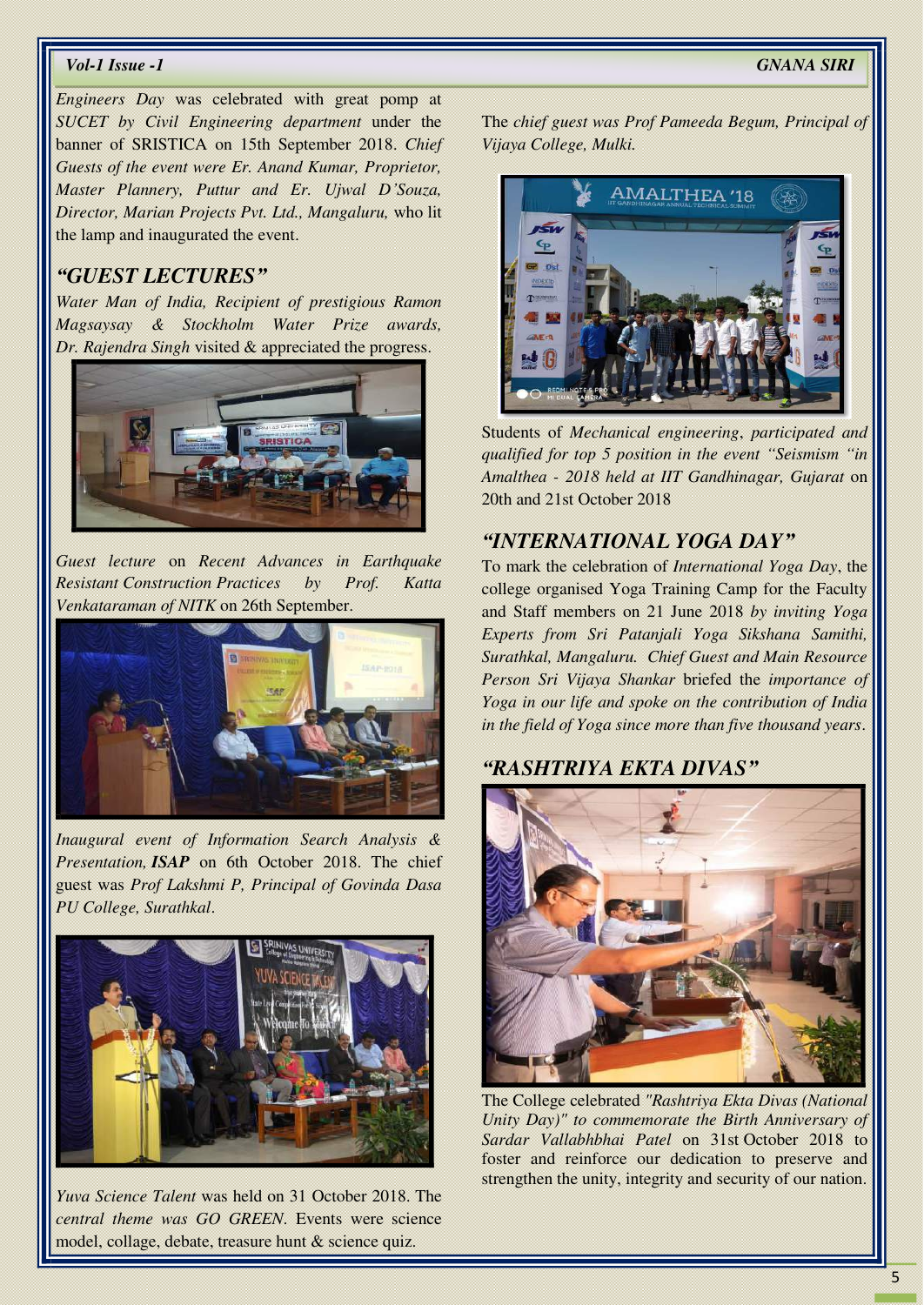*Engineers Day* was celebrated with great pomp at *SUCET by Civil Engineering department* under the banner of SRISTICA on 15th September 2018. *Chief Guests of the event were Er. Anand Kumar, Proprietor, Master Plannery, Puttur and Er. Ujwal D'Souza, Director, Marian Projects Pvt. Ltd., Mangaluru,* who lit the lamp and inaugurated the event.

#### *"GUEST LECTURES"*

*Water Man of India, Recipient of prestigious Ramon Magsaysay & Stockholm Water Prize awards, Dr. Rajendra Singh* visited & appreciated the progress.



*Guest lecture* on *Recent Advances in Earthquake Resistant Construction Practices by Prof. Katta Venkataraman of NITK* on 26th September.



*Inaugural event of Information Search Analysis & Presentation, ISAP* on 6th October 2018. The chief guest was *Prof Lakshmi P, Principal of Govinda Dasa PU College, Surathkal*.



*Yuva Science Talent* was held on 31 October 2018. The *central theme was GO GREEN*. Events were science model, collage, debate, treasure hunt & science quiz.

The *chief guest was Prof Pameeda Begum, Principal of Vijaya College, Mulki.* 



Students of *Mechanical engineering*, *participated and qualified for top 5 position in the event "Seismism "in Amalthea - 2018 held at IIT Gandhinagar, Gujarat* on 20th and 21st October 2018

#### *"INTERNATIONAL YOGA DAY"*

To mark the celebration of *International Yoga Day*, the college organised Yoga Training Camp for the Faculty and Staff members on 21 June 2018 *by inviting Yoga Experts from Sri Patanjali Yoga Sikshana Samithi, Surathkal, Mangaluru. Chief Guest and Main Resource Person Sri Vijaya Shankar* briefed the *importance of Yoga in our life and spoke on the contribution of India in the field of Yoga since more than five thousand years*.

## *"RASHTRIYA EKTA DIVAS"*



The College celebrated *"Rashtriya Ekta Divas (National Unity Day)" to commemorate the Birth Anniversary of Sardar Vallabhbhai Patel* on 31st October 2018 to foster and reinforce our dedication to preserve and strengthen the unity, integrity and security of our nation.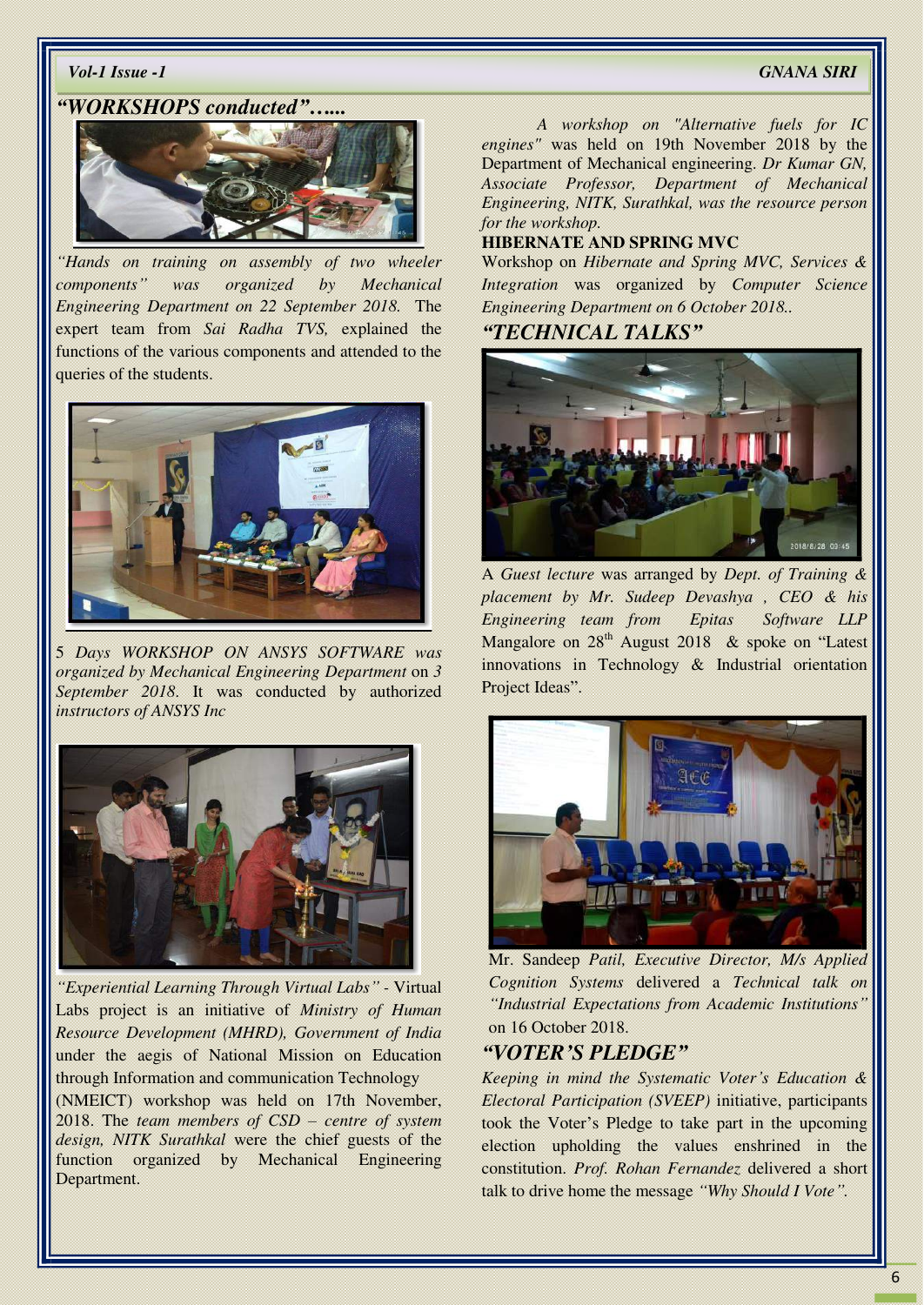#### *"WORKSHOPS conducted"…...*



*"Hands on training on assembly of two wheeler components" was organized by Mechanical Engineering Department on 22 September 2018.* The expert team from *Sai Radha TVS,* explained the functions of the various components and attended to the queries of the students.



5 *Days WORKSHOP ON ANSYS SOFTWARE was organized by Mechanical Engineering Department* on *3 September 2018*. It was conducted by authorized *instructors of ANSYS Inc*



*"Experiential Learning Through Virtual Labs" -* Virtual Labs project is an initiative of *Ministry of Human Resource Development (MHRD), Government of India* under the aegis of National Mission on Education through Information and communication Technology (NMEICT) workshop was held on 17th November, 2018. The *team members of CSD – centre of system design, NITK Surathkal* were the chief guests of the function organized by Mechanical Engineering

Department.

*A workshop on "Alternative fuels for IC engines"* was held on 19th November 2018 by the Department of Mechanical engineering. *Dr Kumar GN, Associate Professor, Department of Mechanical Engineering, NITK, Surathkal, was the resource person for the workshop.* 

#### **HIBERNATE AND SPRING MVC**

Workshop on *Hibernate and Spring MVC, Services & Integration* was organized by *Computer Science Engineering Department on 6 October 2018..* 

#### *"TECHNICAL TALKS"*



A *Guest lecture* was arranged by *Dept. of Training & placement by Mr. Sudeep Devashya , CEO & his Engineering team from Epitas Software LLP* Mangalore on  $28<sup>th</sup>$  August 2018 & spoke on "Latest" innovations in Technology & Industrial orientation Project Ideas".



Mr. Sandeep *Patil, Executive Director, M/s Applied Cognition Systems* delivered a *Technical talk on "Industrial Expectations from Academic Institutions"* on 16 October 2018.

#### *"VOTER'S PLEDGE"*

*Keeping in mind the Systematic Voter's Education & Electoral Participation (SVEEP)* initiative, participants took the Voter's Pledge to take part in the upcoming election upholding the values enshrined in the constitution. *Prof. Rohan Fernandez* delivered a short talk to drive home the message *"Why Should I Vote".*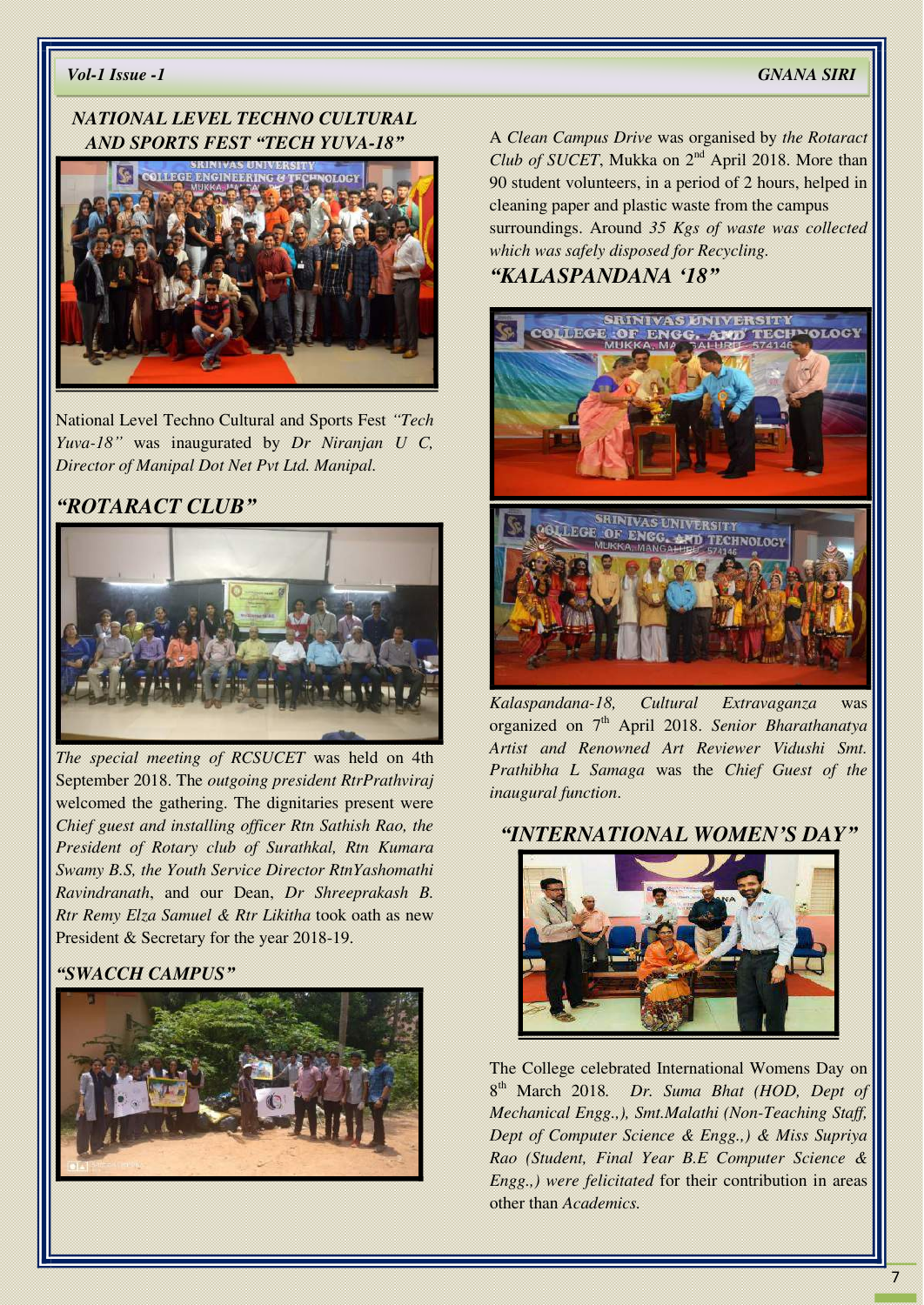#### *NATIONAL LEVEL TECHNO CULTURAL AND SPORTS FEST "TECH YUVA-18"*



National Level Techno Cultural and Sports Fest *"Tech Yuva-18"* was inaugurated by *Dr Niranjan U C, Director of Manipal Dot Net Pvt Ltd. Manipal.* 

#### *"ROTARACT CLUB"*



*The special meeting of RCSUCET* was held on 4th September 2018. The *outgoing president RtrPrathviraj* welcomed the gathering. The dignitaries present were *Chief guest and installing officer Rtn Sathish Rao, the President of Rotary club of Surathkal, Rtn Kumara Swamy B.S, the Youth Service Director RtnYashomathi Ravindranath*, and our Dean, *Dr Shreeprakash B. Rtr Remy Elza Samuel & Rtr Likitha* took oath as new President & Secretary for the year 2018-19.

#### *"SWACCH CAMPUS"*



A *Clean Campus Drive* was organised by *the Rotaract Club of SUCET*, Mukka on 2<sup>nd</sup> April 2018. More than 90 student volunteers, in a period of 2 hours, helped in cleaning paper and plastic waste from the campus surroundings. Around *35 Kgs of waste was collected which was safely disposed for Recycling.*

#### *"KALASPANDANA '18"*



*Kalaspandana-18, Cultural Extravaganza* was organized on 7th April 2018. *Senior Bharathanatya Artist and Renowned Art Reviewer Vidushi Smt. Prathibha L Samaga* was the *Chief Guest of the inaugural function*.

#### *"INTERNATIONAL WOMEN'S DAY"*



The College celebrated International Womens Day on 8 th March 2018*. Dr. Suma Bhat (HOD, Dept of Mechanical Engg.,), Smt.Malathi (Non-Teaching Staff, Dept of Computer Science & Engg.,) & Miss Supriya Rao (Student, Final Year B.E Computer Science & Engg.,) were felicitated* for their contribution in areas other than *Academics.*